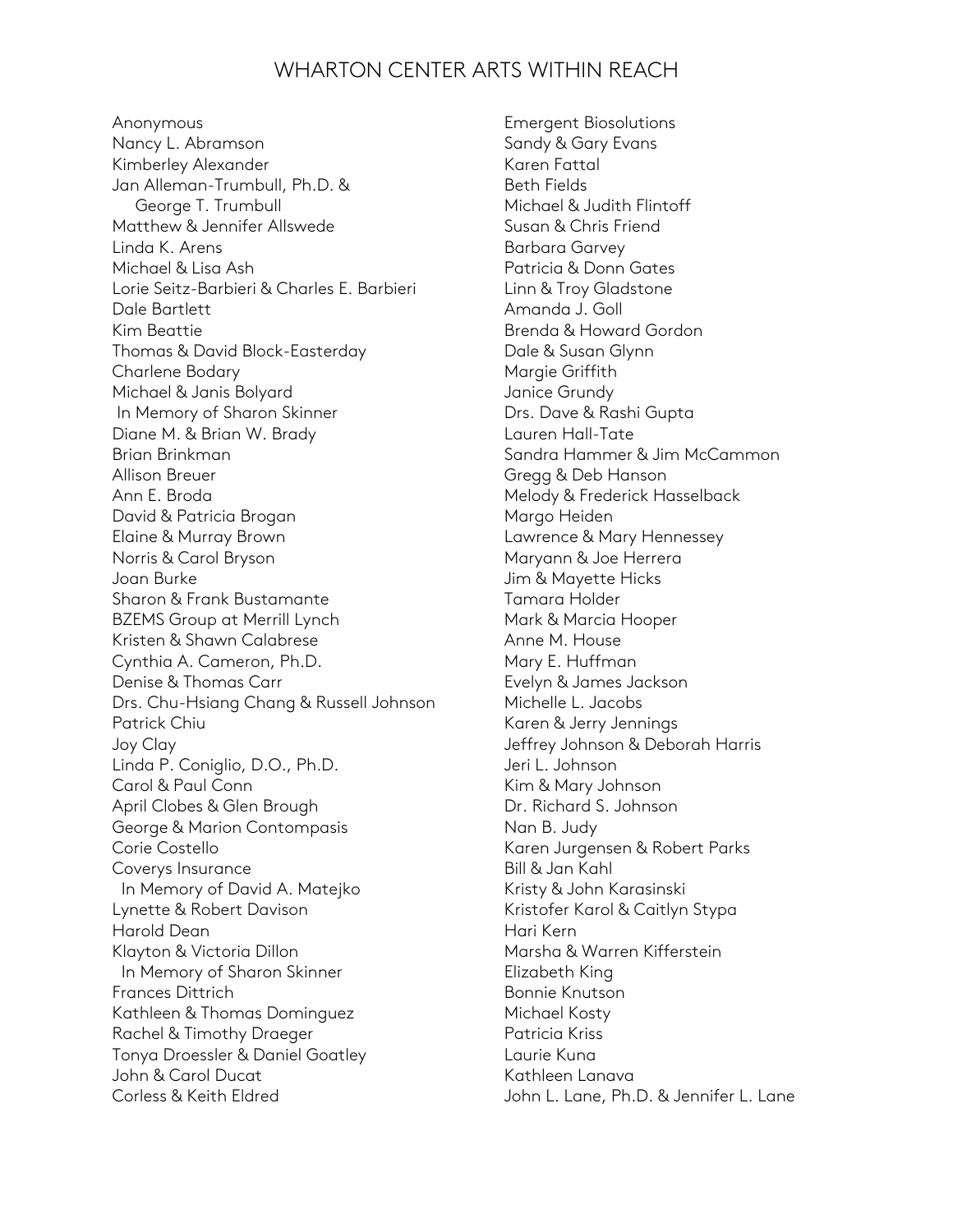## WHARTON CENTER ARTS WITHIN REACH

Anonymous Nancy L. Abramson Kimberley Alexander Jan Alleman-Trumbull, Ph.D. & George T. Trumbull Matthew & Jennifer Allswede Linda K. Arens Michael & Lisa Ash Lorie Seitz-Barbieri & Charles E. Barbieri Dale Bartlett Kim Beattie Thomas & David Block-Easterday Charlene Bodary Michael & Janis Bolyard In Memory of Sharon Skinner Diane M. & Brian W. Brady Brian Brinkman Allison Breuer Ann E. Broda David & Patricia Brogan Elaine & Murray Brown Norris & Carol Bryson Joan Burke Sharon & Frank Bustamante BZEMS Group at Merrill Lynch Kristen & Shawn Calabrese Cynthia A. Cameron, Ph.D. Denise & Thomas Carr Drs. Chu-Hsiang Chang & Russell Johnson Patrick Chiu Joy Clay Linda P. Coniglio, D.O., Ph.D. Carol & Paul Conn April Clobes & Glen Brough George & Marion Contompasis Corie Costello Coverys Insurance In Memory of David A. Matejko Lynette & Robert Davison Harold Dean Klayton & Victoria Dillon In Memory of Sharon Skinner Frances Dittrich Kathleen & Thomas Dominguez Rachel & Timothy Draeger Tonya Droessler & Daniel Goatley John & Carol Ducat Corless & Keith Eldred

Emergent Biosolutions Sandy & Gary Evans Karen Fattal Beth Fields Michael & Judith Flintoff Susan & Chris Friend Barbara Garvey Patricia & Donn Gates Linn & Troy Gladstone Amanda J. Goll Brenda & Howard Gordon Dale & Susan Glynn Margie Griffith Janice Grundy Drs. Dave & Rashi Gupta Lauren Hall-Tate Sandra Hammer & Jim McCammon Gregg & Deb Hanson Melody & Frederick Hasselback Margo Heiden Lawrence & Mary Hennessey Maryann & Joe Herrera Jim & Mayette Hicks Tamara Holder Mark & Marcia Hooper Anne M. House Mary E. Huffman Evelyn & James Jackson Michelle L. Jacobs Karen & Jerry Jennings Jeffrey Johnson & Deborah Harris Jeri L. Johnson Kim & Mary Johnson Dr. Richard S. Johnson Nan B. Judy Karen Jurgensen & Robert Parks Bill & Jan Kahl Kristy & John Karasinski Kristofer Karol & Caitlyn Stypa Hari Kern Marsha & Warren Kifferstein Elizabeth King Bonnie Knutson Michael Kosty Patricia Kriss Laurie Kuna Kathleen Lanava John L. Lane, Ph.D. & Jennifer L. Lane